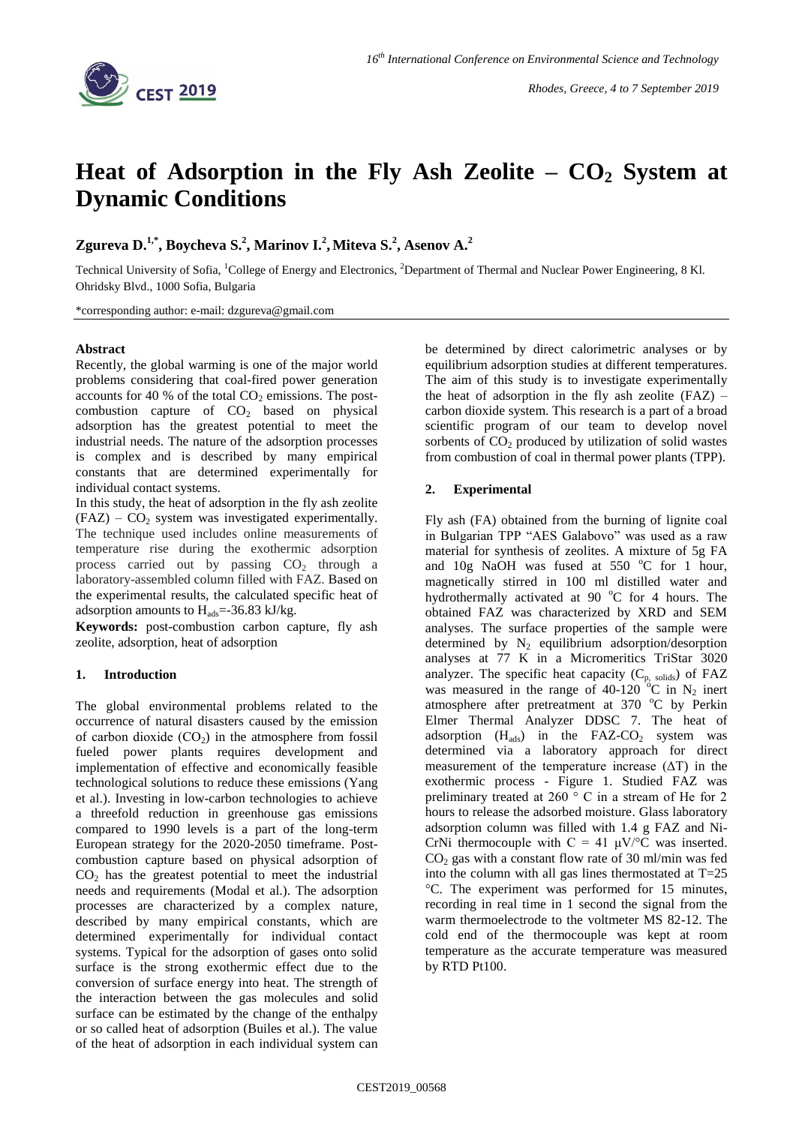

# **Heat of Adsorption in the Fly Ash Zeolite – CO<sup>2</sup> System at Dynamic Conditions**

**Zgureva D.1,\* , Boycheva S.<sup>2</sup> , Marinov I.<sup>2</sup> ,Miteva S.<sup>2</sup> , Asenov A.<sup>2</sup>**

Technical University of Sofia, <sup>1</sup>College of Energy and Electronics, <sup>2</sup>Department of Thermal and Nuclear Power Engineering, 8 Kl. Ohridsky Blvd., 1000 Sofia, Bulgaria

\*corresponding author: e-mail: dzgureva@gmail.com

## **Abstract**

Recently, the global warming is one of the major world problems considering that coal-fired power generation accounts for 40 % of the total  $CO<sub>2</sub>$  emissions. The postcombustion capture of  $CO<sub>2</sub>$  based on physical adsorption has the greatest potential to meet the industrial needs. The nature of the adsorption processes is complex and is described by many empirical constants that are determined experimentally for individual contact systems.

In this study, the heat of adsorption in the fly ash zeolite  $(FAZ) - CO<sub>2</sub>$  system was investigated experimentally. The technique used includes online measurements of temperature rise during the exothermic adsorption process carried out by passing  $CO<sub>2</sub>$  through a laboratory-assembled column filled with FAZ. Based on the experimental results, the calculated specific heat of adsorption amounts to  $H_{ads} = -36.83 \text{ kJ/kg}$ .

**Keywords:** post-combustion carbon capture, fly ash zeolite, adsorption, heat of adsorption

## **1. Introduction**

The global environmental problems related to the occurrence of natural disasters caused by the emission of carbon dioxide  $(CO<sub>2</sub>)$  in the atmosphere from fossil fueled power plants requires development and implementation of effective and economically feasible technological solutions to reduce these emissions (Yang et al.). Investing in low-carbon technologies to achieve a threefold reduction in greenhouse gas emissions compared to 1990 levels is a part of the long-term European strategy for the 2020-2050 timeframe. Postcombustion capture based on physical adsorption of  $CO<sub>2</sub>$  has the greatest potential to meet the industrial needs and requirements (Modal et al.). The adsorption processes are characterized by a complex nature, described by many empirical constants, which are determined experimentally for individual contact systems. Typical for the adsorption of gases onto solid surface is the strong exothermic effect due to the conversion of surface energy into heat. The strength of the interaction between the gas molecules and solid surface can be estimated by the change of the enthalpy or so called heat of adsorption (Builes et al.). The value of the heat of adsorption in each individual system can

be determined by direct calorimetric analyses or by equilibrium adsorption studies at different temperatures. The aim of this study is to investigate experimentally the heat of adsorption in the fly ash zeolite  $(FAZ)$  – carbon dioxide system. This research is a part of a broad scientific program of our team to develop novel sorbents of  $CO<sub>2</sub>$  produced by utilization of solid wastes from combustion of coal in thermal power plants (TPP).

# **2. Experimental**

Fly ash (FA) obtained from the burning of lignite coal in Bulgarian TPP "AES Galabovo" was used as a raw material for synthesis of zeolites. A mixture of 5g FA and 10g NaOH was fused at  $550 °C$  for 1 hour, magnetically stirred in 100 ml distilled water and hydrothermally activated at 90  $^{\circ}$ C for 4 hours. The obtained FAZ was characterized by XRD and SEM analyses. The surface properties of the sample were determined by  $N_2$  equilibrium adsorption/desorption analyses at 77 K in a Micromeritics TriStar 3020 analyzer. The specific heat capacity  $(C_{p, \text{ solids}})$  of  $FAZ$ was measured in the range of 40-120  $\mathrm{^6C}$  in N<sub>2</sub> inert atmosphere after pretreatment at 370 °C by Perkin Elmer Thermal Analyzer DDSC 7. The heat of adsorption  $(H_{ads})$  in the FAZ-CO<sub>2</sub> system was determined via a laboratory approach for direct measurement of the temperature increase  $(ΔT)$  in the exothermic process - Figure 1. Studied FAZ was preliminary treated at 260 ° C in a stream of He for 2 hours to release the adsorbed moisture. Glass laboratory adsorption column was filled with 1.4 g FAZ and Ni-CrNi thermocouple with  $C = 41 \mu V$ <sup>o</sup>C was inserted.  $CO<sub>2</sub>$  gas with a constant flow rate of 30 ml/min was fed into the column with all gas lines thermostated at T=25 °C. The experiment was performed for 15 minutes, recording in real time in 1 second the signal from the warm thermoelectrode to the voltmeter MS 82-12. The cold end of the thermocouple was kept at room temperature as the accurate temperature was measured by RTD Pt100.